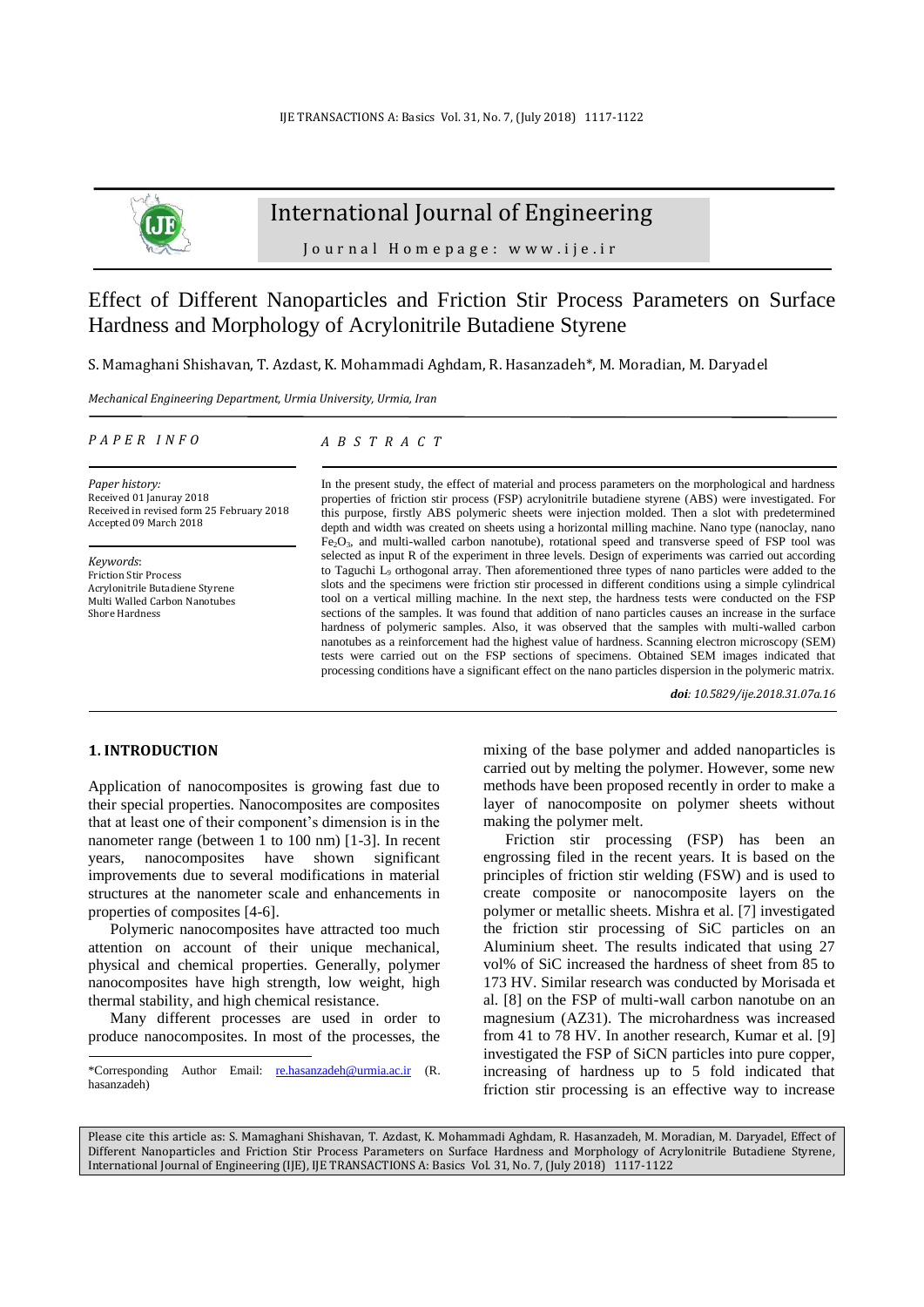

## International Journal of Engineering

Journal Homepage: www.ije.ir

# Effect of Different Nanoparticles and Friction Stir Process Parameters on Surface Hardness and Morphology of Acrylonitrile Butadiene Styrene

S. Mamaghani Shishavan, T. Azdast, K. Mohammadi Aghdam, R. Hasanzadeh\*, M. Moradian, M. Daryadel

*Mechanical Engineering Department, Urmia University, Urmia, Iran*

#### *P A P E R I N F O*

*Paper history:* Received 01 Januray 2018 Received in revised form 25 February 2018 Accepted 09 March 2018

*Keywords*: Friction Stir Process Acrylonitrile Butadiene Styrene Multi Walled Carbon Nanotubes Shore Hardness

#### *A B S T R A C T*

In the present study, the effect of material and process parameters on the morphological and hardness properties of friction stir process (FSP) acrylonitrile butadiene styrene (ABS) were investigated. For this purpose, firstly ABS polymeric sheets were injection molded. Then a slot with predetermined depth and width was created on sheets using a horizontal milling machine. Nano type (nanoclay, nano Fe2O3, and multi-walled carbon nanotube), rotational speed and transverse speed of FSP tool was selected as input R of the experiment in three levels. Design of experiments was carried out according to Taguchi  $L<sub>9</sub>$  orthogonal array. Then aforementioned three types of nano particles were added to the slots and the specimens were friction stir processed in different conditions using a simple cylindrical tool on a vertical milling machine. In the next step, the hardness tests were conducted on the FSP sections of the samples. It was found that addition of nano particles causes an increase in the surface hardness of polymeric samples. Also, it was observed that the samples with multi-walled carbon nanotubes as a reinforcement had the highest value of hardness. Scanning electron microscopy (SEM) tests were carried out on the FSP sections of specimens. Obtained SEM images indicated that processing conditions have a significant effect on the nano particles dispersion in the polymeric matrix.

*doi: 10.5829/ije.2018.31.07a.16*

## **1. INTRODUCTION<sup>1</sup>**

 $\overline{a}$ 

Application of nanocomposites is growing fast due to their special properties. Nanocomposites are composites that at least one of their component's dimension is in the nanometer range (between 1 to 100 nm) [1-3]. In recent years, nanocomposites have shown significant improvements due to several modifications in material structures at the nanometer scale and enhancements in properties of composites [4-6].

Polymeric nanocomposites have attracted too much attention on account of their unique mechanical, physical and chemical properties. Generally, polymer nanocomposites have high strength, low weight, high thermal stability, and high chemical resistance.

Many different processes are used in order to produce nanocomposites. In most of the processes, the mixing of the base polymer and added nanoparticles is carried out by melting the polymer. However, some new methods have been proposed recently in order to make a layer of nanocomposite on polymer sheets without making the polymer melt.

Friction stir processing (FSP) has been an engrossing filed in the recent years. It is based on the principles of friction stir welding (FSW) and is used to create composite or nanocomposite layers on the polymer or metallic sheets. Mishra et al. [7] investigated the friction stir processing of SiC particles on an Aluminium sheet. The results indicated that using 27 vol% of SiC increased the hardness of sheet from 85 to 173 HV. Similar research was conducted by Morisada et al. [8] on the FSP of multi-wall carbon nanotube on an magnesium (AZ31). The microhardness was increased from 41 to 78 HV. In another research, Kumar et al. [9] investigated the FSP of SiCN particles into pure copper, increasing of hardness up to 5 fold indicated that friction stir processing is an effective way to increase

Please cite this article as: S. Mamaghani Shishavan, T. Azdast, K. Mohammadi Aghdam, R. Hasanzadeh, M. Moradian, M. Daryadel, Effect of Different Nanoparticles and Friction Stir Process Parameters on Surface Hardness and Morphology of Acrylonitrile Butadiene Styrene, International Journal of Engineering (IJE), IJE TRANSACTIONS A: Basics Vol. 31, No. 7, (July 2018) 1117-1122

<sup>\*</sup>Corresponding Author Email: [re.hasanzadeh@urmia.ac.ir](mailto:re.hasanzadeh@urmia.ac.ir) (R. hasanzadeh)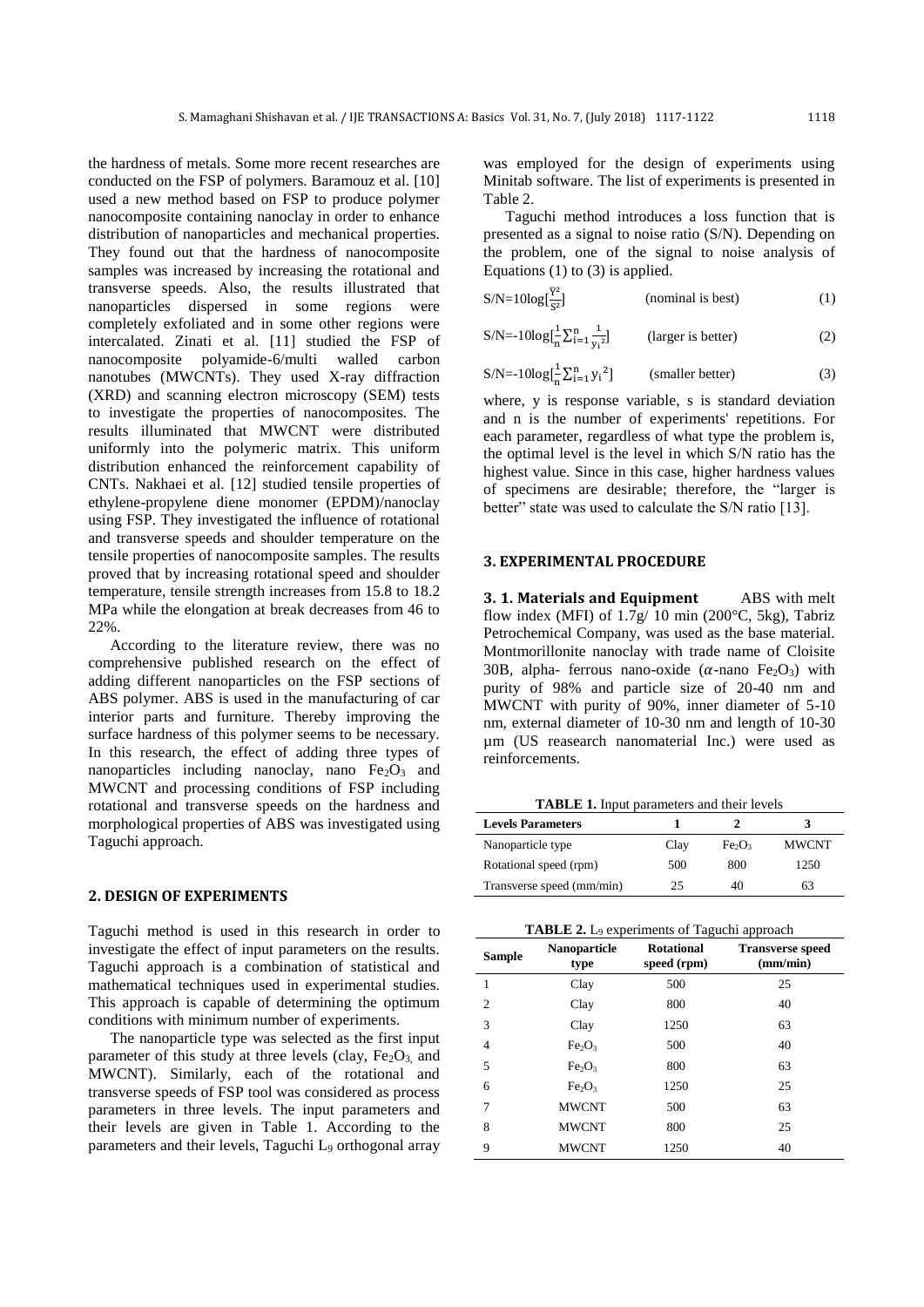the hardness of metals. Some more recent researches are conducted on the FSP of polymers. Baramouz et al. [10] used a new method based on FSP to produce polymer nanocomposite containing nanoclay in order to enhance distribution of nanoparticles and mechanical properties. They found out that the hardness of nanocomposite samples was increased by increasing the rotational and transverse speeds. Also, the results illustrated that nanoparticles dispersed in some regions were completely exfoliated and in some other regions were intercalated. Zinati et al. [11] studied the FSP of nanocomposite polyamide-6/multi walled carbon nanotubes (MWCNTs). They used X-ray diffraction (XRD) and scanning electron microscopy (SEM) tests to investigate the properties of nanocomposites. The results illuminated that MWCNT were distributed uniformly into the polymeric matrix. This uniform distribution enhanced the reinforcement capability of CNTs. Nakhaei et al. [12] studied tensile properties of ethylene-propylene diene monomer (EPDM)/nanoclay using FSP. They investigated the influence of rotational and transverse speeds and shoulder temperature on the tensile properties of nanocomposite samples. The results proved that by increasing rotational speed and shoulder temperature, tensile strength increases from 15.8 to 18.2 MPa while the elongation at break decreases from 46 to 22%.

According to the literature review, there was no comprehensive published research on the effect of adding different nanoparticles on the FSP sections of ABS polymer. ABS is used in the manufacturing of car interior parts and furniture. Thereby improving the surface hardness of this polymer seems to be necessary. In this research, the effect of adding three types of nanoparticles including nanoclay, nano  $Fe<sub>2</sub>O<sub>3</sub>$  and MWCNT and processing conditions of FSP including rotational and transverse speeds on the hardness and morphological properties of ABS was investigated using Taguchi approach.

### **2. DESIGN OF EXPERIMENTS**

Taguchi method is used in this research in order to investigate the effect of input parameters on the results. Taguchi approach is a combination of statistical and mathematical techniques used in experimental studies. This approach is capable of determining the optimum conditions with minimum number of experiments.

The nanoparticle type was selected as the first input parameter of this study at three levels (clay,  $Fe<sub>2</sub>O<sub>3</sub>$ , and MWCNT). Similarly, each of the rotational and transverse speeds of FSP tool was considered as process parameters in three levels. The input parameters and their levels are given in Table 1. According to the parameters and their levels, Taguchi L<sub>9</sub> orthogonal array was employed for the design of experiments using Minitab software. The list of experiments is presented in Table 2.

Taguchi method introduces a loss function that is presented as a signal to noise ratio (S/N). Depending on the problem, one of the signal to noise analysis of Equations (1) to (3) is applied.

$$
S/N = 10\log[\frac{\overline{Y}^2}{S^2}]
$$
 (nominal is best) (1)

$$
S/N = -10\log\left[\frac{1}{n}\sum_{i=1}^{n}\frac{1}{y_i^2}\right] \qquad \text{(larger is better)}\tag{2}
$$

$$
S/N = -10\log[\frac{1}{n}\sum_{i=1}^{n} y_i^2]
$$
 (smaller better) (3)

where, y is response variable, s is standard deviation and n is the number of experiments' repetitions. For each parameter, regardless of what type the problem is, the optimal level is the level in which S/N ratio has the highest value. Since in this case, higher hardness values of specimens are desirable; therefore, the "larger is better" state was used to calculate the S/N ratio [13].

#### **3. EXPERIMENTAL PROCEDURE**

**3. 1. Materials and Equipment** ABS with melt flow index (MFI) of  $1.7g/10$  min (200 $^{\circ}$ C, 5kg), Tabriz Petrochemical Company, was used as the base material. Montmorillonite nanoclay with trade name of Cloisite 30B, alpha- ferrous nano-oxide  $(\alpha$ -nano Fe<sub>2</sub>O<sub>3</sub>) with purity of 98% and particle size of 20-40 nm and MWCNT with purity of 90%, inner diameter of 5-10 nm, external diameter of 10-30 nm and length of 10-30 µm (US reasearch nanomaterial Inc.) were used as reinforcements.

**TABLE 1.** Input parameters and their levels

| <b>Levels Parameters</b>  |      |                                |              |
|---------------------------|------|--------------------------------|--------------|
| Nanoparticle type         | Clay | Fe <sub>2</sub> O <sub>3</sub> | <b>MWCNT</b> |
| Rotational speed (rpm)    | 500  | 800                            | 1250         |
| Transverse speed (mm/min) | 25   | 40                             | 63           |

**TABLE 2.** L<sup>9</sup> experiments of Taguchi approach

| <b>Sample</b>  | <b>Nanoparticle</b><br>type    | <b>Rotational</b><br>speed (rpm) | <b>Transverse speed</b><br>(mm/min) |
|----------------|--------------------------------|----------------------------------|-------------------------------------|
| 1              | Clay                           | 500                              | 25                                  |
| $\overline{c}$ | Clay                           | 800                              | 40                                  |
| 3              | Clay                           | 1250                             | 63                                  |
| 4              | Fe <sub>2</sub> O <sub>3</sub> | 500                              | 40                                  |
| 5              | Fe <sub>2</sub> O <sub>3</sub> | 800                              | 63                                  |
| 6              | Fe <sub>2</sub> O <sub>3</sub> | 1250                             | 25                                  |
| 7              | <b>MWCNT</b>                   | 500                              | 63                                  |
| 8              | <b>MWCNT</b>                   | 800                              | 25                                  |
| 9              | <b>MWCNT</b>                   | 1250                             | 40                                  |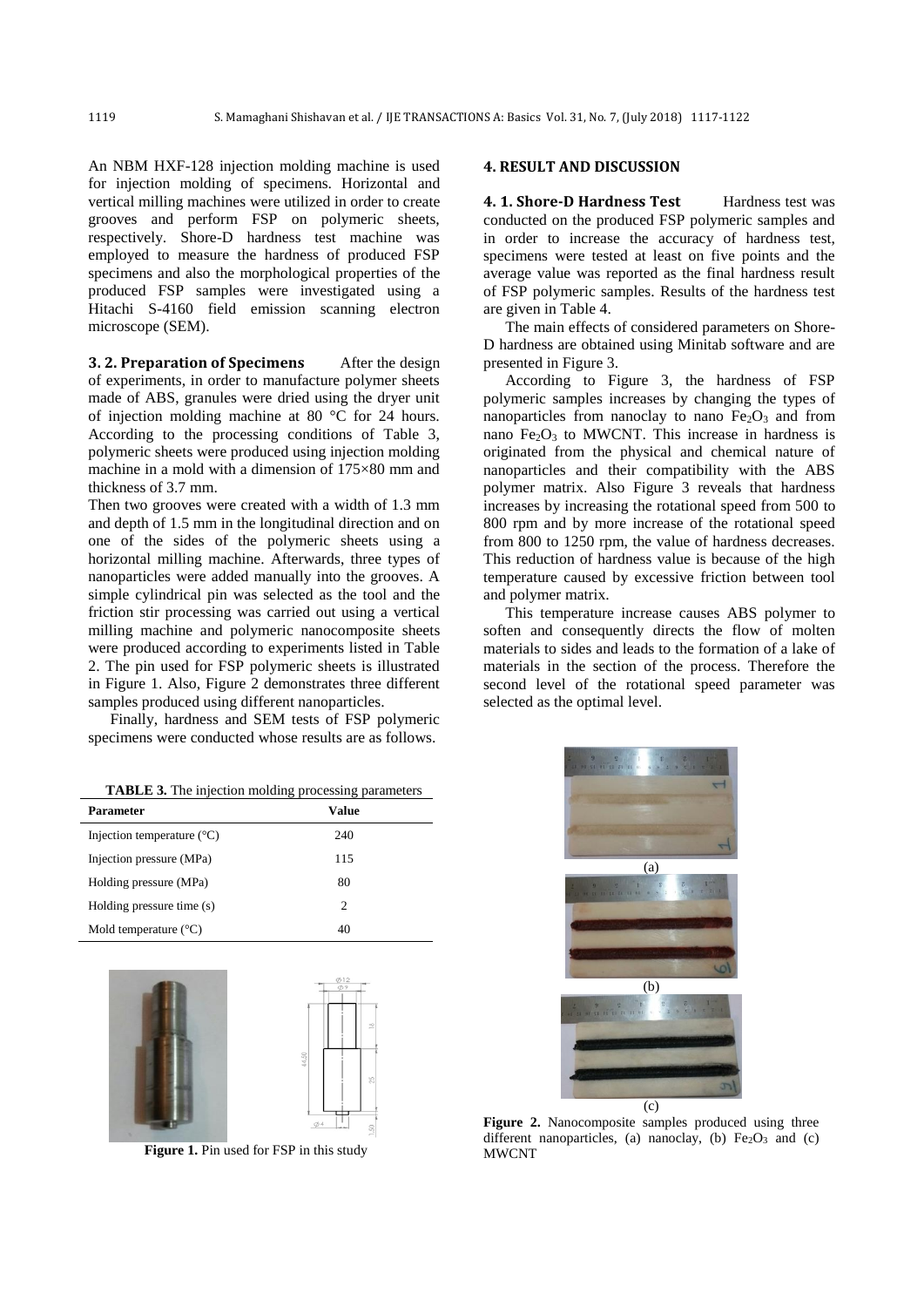An NBM HXF-128 injection molding machine is used for injection molding of specimens. Horizontal and vertical milling machines were utilized in order to create grooves and perform FSP on polymeric sheets, respectively. Shore-D hardness test machine was employed to measure the hardness of produced FSP specimens and also the morphological properties of the produced FSP samples were investigated using a Hitachi S-4160 field emission scanning electron microscope (SEM).

**3. 2. Preparation of Specimens** After the design of experiments, in order to manufacture polymer sheets made of ABS, granules were dried using the dryer unit of injection molding machine at 80 °C for 24 hours. According to the processing conditions of Table 3, polymeric sheets were produced using injection molding machine in a mold with a dimension of 175×80 mm and thickness of 3.7 mm.

Then two grooves were created with a width of 1.3 mm and depth of 1.5 mm in the longitudinal direction and on one of the sides of the polymeric sheets using a horizontal milling machine. Afterwards, three types of nanoparticles were added manually into the grooves. A simple cylindrical pin was selected as the tool and the friction stir processing was carried out using a vertical milling machine and polymeric nanocomposite sheets were produced according to experiments listed in Table 2. The pin used for FSP polymeric sheets is illustrated in Figure 1. Also, Figure 2 demonstrates three different samples produced using different nanoparticles.

Finally, hardness and SEM tests of FSP polymeric specimens were conducted whose results are as follows.

| <b>TABLE 3.</b> The injection molding processing parameters |  |  |
|-------------------------------------------------------------|--|--|
|                                                             |  |  |

| <b>Parameter</b>                    | <b>Value</b> |  |
|-------------------------------------|--------------|--|
| Injection temperature $(^{\circ}C)$ | 240          |  |
| Injection pressure (MPa)            | 115          |  |
| Holding pressure (MPa)              | 80           |  |
| Holding pressure time (s)           | 2            |  |
| Mold temperature $(^{\circ}C)$      | 40           |  |



**Figure 1.** Pin used for FSP in this study

#### **4. RESULT AND DISCUSSION**

**4. 1. Shore-D Hardness Test** Hardness test was conducted on the produced FSP polymeric samples and in order to increase the accuracy of hardness test, specimens were tested at least on five points and the average value was reported as the final hardness result of FSP polymeric samples. Results of the hardness test are given in Table 4.

The main effects of considered parameters on Shore-D hardness are obtained using Minitab software and are presented in Figure 3.

According to Figure 3, the hardness of FSP polymeric samples increases by changing the types of nanoparticles from nanoclay to nano  $Fe<sub>2</sub>O<sub>3</sub>$  and from nano  $Fe<sub>2</sub>O<sub>3</sub>$  to MWCNT. This increase in hardness is originated from the physical and chemical nature of nanoparticles and their compatibility with the ABS polymer matrix. Also Figure 3 reveals that hardness increases by increasing the rotational speed from 500 to 800 rpm and by more increase of the rotational speed from 800 to 1250 rpm, the value of hardness decreases. This reduction of hardness value is because of the high temperature caused by excessive friction between tool and polymer matrix.

This temperature increase causes ABS polymer to soften and consequently directs the flow of molten materials to sides and leads to the formation of a lake of materials in the section of the process. Therefore the second level of the rotational speed parameter was selected as the optimal level.



**Figure 2.** Nanocomposite samples produced using three different nanoparticles, (a) nanoclay, (b)  $Fe<sub>2</sub>O<sub>3</sub>$  and (c) MWCNT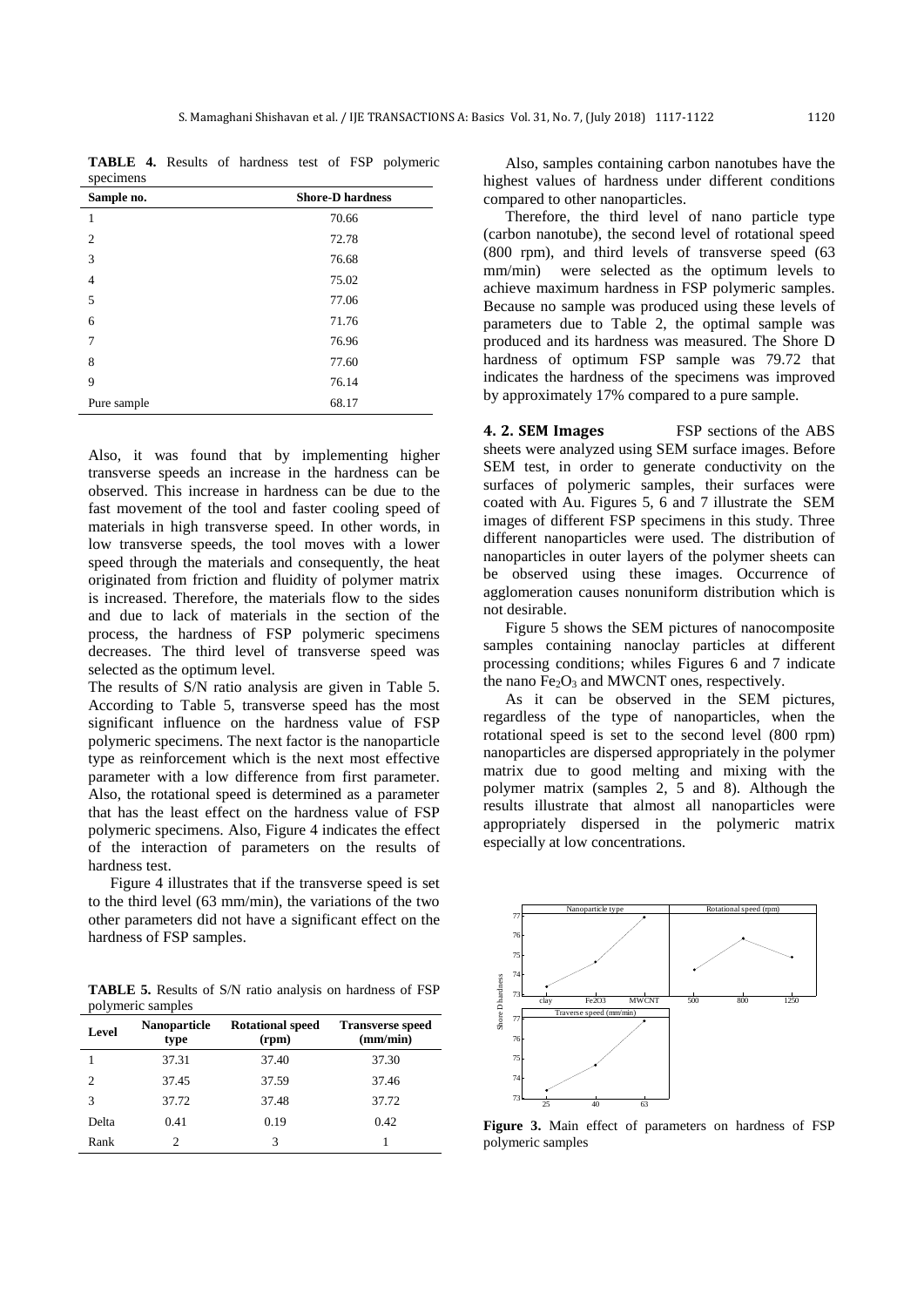**TABLE 4.** Results of hardness test of FSP polymeric specimens

| Sample no.     | <b>Shore-D hardness</b> |
|----------------|-------------------------|
| 1              | 70.66                   |
| $\overline{2}$ | 72.78                   |
| 3              | 76.68                   |
| $\overline{4}$ | 75.02                   |
| 5              | 77.06                   |
| 6              | 71.76                   |
| $\overline{7}$ | 76.96                   |
| 8              | 77.60                   |
| 9              | 76.14                   |
| Pure sample    | 68.17                   |

Also, it was found that by implementing higher transverse speeds an increase in the hardness can be observed. This increase in hardness can be due to the fast movement of the tool and faster cooling speed of materials in high transverse speed. In other words, in low transverse speeds, the tool moves with a lower speed through the materials and consequently, the heat originated from friction and fluidity of polymer matrix is increased. Therefore, the materials flow to the sides and due to lack of materials in the section of the process, the hardness of FSP polymeric specimens decreases. The third level of transverse speed was selected as the optimum level.

The results of S/N ratio analysis are given in Table 5. According to Table 5, transverse speed has the most significant influence on the hardness value of FSP polymeric specimens. The next factor is the nanoparticle type as reinforcement which is the next most effective parameter with a low difference from first parameter. Also, the rotational speed is determined as a parameter that has the least effect on the hardness value of FSP polymeric specimens. Also, Figure 4 indicates the effect of the interaction of parameters on the results of hardness test.

Figure 4 illustrates that if the transverse speed is set to the third level (63 mm/min), the variations of the two other parameters did not have a significant effect on the hardness of FSP samples.

**TABLE 5.** Results of S/N ratio analysis on hardness of FSP polymeric samples

| Level | <b>Nanoparticle</b><br>type | <b>Rotational speed</b><br>(rpm) | <b>Transverse speed</b><br>(mm/min) |
|-------|-----------------------------|----------------------------------|-------------------------------------|
|       | 37.31                       | 37.40                            | 37.30                               |
| 2     | 37.45                       | 37.59                            | 37.46                               |
| 3     | 37.72                       | 37.48                            | 37.72                               |
| Delta | 0.41                        | 0.19                             | 0.42                                |
| Rank  |                             | 3                                |                                     |

Also, samples containing carbon nanotubes have the highest values of hardness under different conditions compared to other nanoparticles.

Therefore, the third level of nano particle type (carbon nanotube), the second level of rotational speed (800 rpm), and third levels of transverse speed (63 mm/min) were selected as the optimum levels to achieve maximum hardness in FSP polymeric samples. Because no sample was produced using these levels of parameters due to Table 2, the optimal sample was produced and its hardness was measured. The Shore D hardness of optimum FSP sample was 79.72 that indicates the hardness of the specimens was improved by approximately 17% compared to a pure sample.

**4. 2. SEM Images** FSP sections of the ABS sheets were analyzed using SEM surface images. Before SEM test, in order to generate conductivity on the surfaces of polymeric samples, their surfaces were coated with Au. Figures 5, 6 and 7 illustrate the SEM images of different FSP specimens in this study. Three different nanoparticles were used. The distribution of nanoparticles in outer layers of the polymer sheets can be observed using these images. Occurrence of agglomeration causes nonuniform distribution which is not desirable.

Figure 5 shows the SEM pictures of nanocomposite samples containing nanoclay particles at different processing conditions; whiles Figures 6 and 7 indicate the nano  $Fe<sub>2</sub>O<sub>3</sub>$  and MWCNT ones, respectively.

As it can be observed in the SEM pictures, regardless of the type of nanoparticles, when the rotational speed is set to the second level (800 rpm) nanoparticles are dispersed appropriately in the polymer matrix due to good melting and mixing with the polymer matrix (samples 2, 5 and 8). Although the results illustrate that almost all nanoparticles were appropriately dispersed in the polymeric matrix especially at low concentrations.



**Figure 3.** Main effect of parameters on hardness of FSP polymeric samples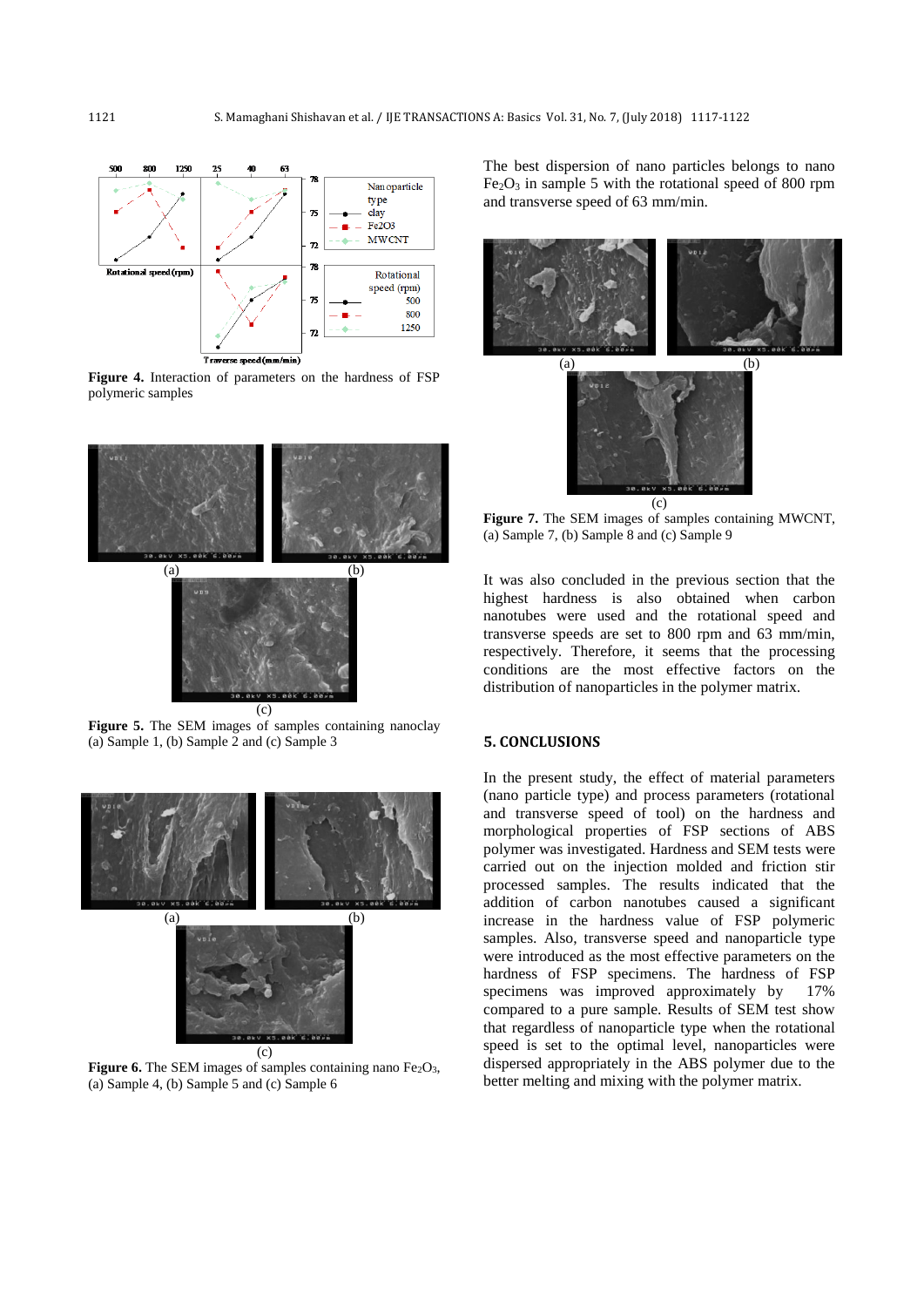

**Figure 4.** Interaction of parameters on the hardness of FSP polymeric samples



**Figure 5.** The SEM images of samples containing nanoclay (a) Sample 1, (b) Sample 2 and (c) Sample 3



**Figure 6.** The SEM images of samples containing nano Fe<sub>2</sub>O<sub>3</sub>, (a) Sample 4, (b) Sample 5 and (c) Sample 6

The best dispersion of nano particles belongs to nano  $Fe<sub>2</sub>O<sub>3</sub>$  in sample 5 with the rotational speed of 800 rpm and transverse speed of 63 mm/min.



**Figure 7.** The SEM images of samples containing MWCNT, (a) Sample 7, (b) Sample 8 and (c) Sample 9

It was also concluded in the previous section that the highest hardness is also obtained when carbon nanotubes were used and the rotational speed and transverse speeds are set to 800 rpm and 63 mm/min, respectively. Therefore, it seems that the processing conditions are the most effective factors on the distribution of nanoparticles in the polymer matrix.

### **5. CONCLUSIONS**

In the present study, the effect of material parameters (nano particle type) and process parameters (rotational and transverse speed of tool) on the hardness and morphological properties of FSP sections of ABS polymer was investigated. Hardness and SEM tests were carried out on the injection molded and friction stir processed samples. The results indicated that the addition of carbon nanotubes caused a significant increase in the hardness value of FSP polymeric samples. Also, transverse speed and nanoparticle type were introduced as the most effective parameters on the hardness of FSP specimens. The hardness of FSP specimens was improved approximately by 17% compared to a pure sample. Results of SEM test show that regardless of nanoparticle type when the rotational speed is set to the optimal level, nanoparticles were dispersed appropriately in the ABS polymer due to the better melting and mixing with the polymer matrix.